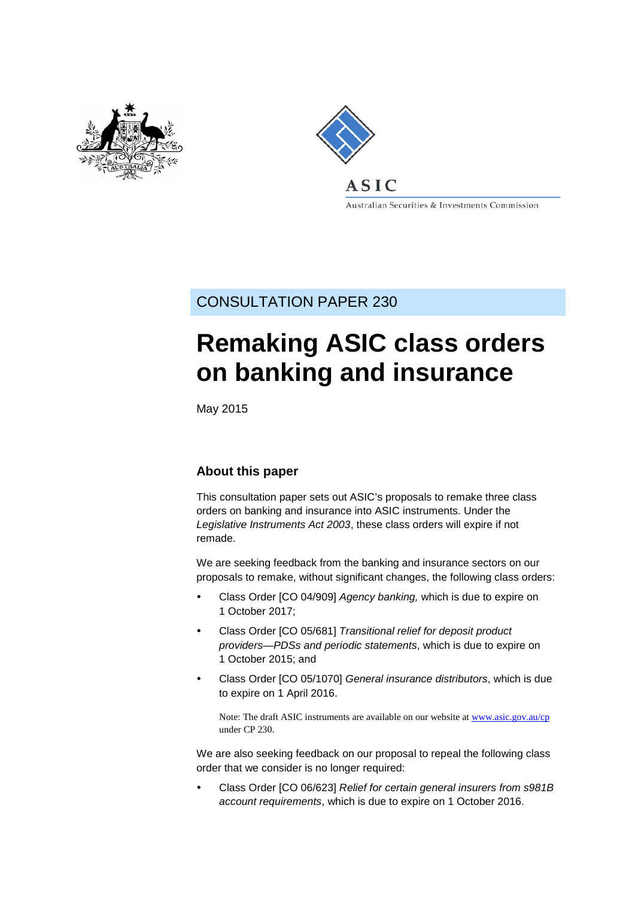



Australian Securities & Investments Commission

## CONSULTATION PAPER 230

# **Remaking ASIC class orders on banking and insurance**

May 2015

## **About this paper**

This consultation paper sets out ASIC's proposals to remake three class orders on banking and insurance into ASIC instruments. Under the *Legislative Instruments Act 2003*, these class orders will expire if not remade.

We are seeking feedback from the banking and insurance sectors on our proposals to remake, without significant changes, the following class orders:

- Class Order [CO 04/909] *Agency banking,* which is due to expire on 1 October 2017;
- Class Order [CO 05/681] *Transitional relief for deposit product providers—PDSs and periodic statements*, which is due to expire on 1 October 2015; and
- Class Order [CO 05/1070] *General insurance distributors*, which is due to expire on 1 April 2016.

Note: The draft ASIC instruments are available on our website at [www.asic.gov.au/cp](http://www.asic.gov.au/regulatory-resources/find-a-document/consultation-papers/) under CP 230.

We are also seeking feedback on our proposal to repeal the following class order that we consider is no longer required:

 Class Order [CO 06/623] *Relief for certain general insurers from s981B account requirements*, which is due to expire on 1 October 2016.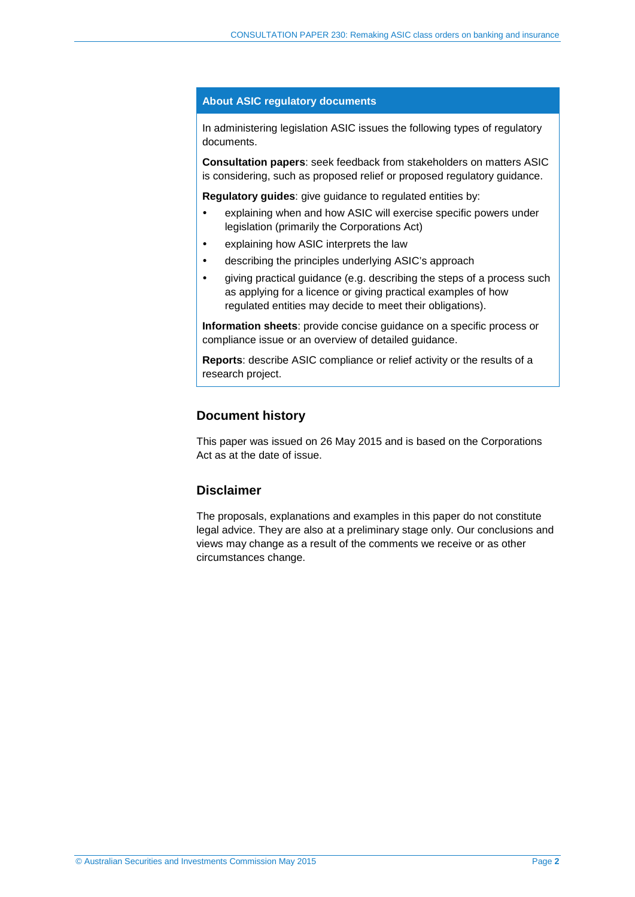#### **About ASIC regulatory documents**

In administering legislation ASIC issues the following types of regulatory documents.

**Consultation papers**: seek feedback from stakeholders on matters ASIC is considering, such as proposed relief or proposed regulatory guidance.

**Regulatory guides**: give guidance to regulated entities by:

- explaining when and how ASIC will exercise specific powers under legislation (primarily the Corporations Act)
- explaining how ASIC interprets the law
- describing the principles underlying ASIC's approach
- giving practical guidance (e.g. describing the steps of a process such as applying for a licence or giving practical examples of how regulated entities may decide to meet their obligations).

**Information sheets**: provide concise guidance on a specific process or compliance issue or an overview of detailed guidance.

**Reports**: describe ASIC compliance or relief activity or the results of a research project.

## **Document history**

This paper was issued on 26 May 2015 and is based on the Corporations Act as at the date of issue.

## **Disclaimer**

The proposals, explanations and examples in this paper do not constitute legal advice. They are also at a preliminary stage only. Our conclusions and views may change as a result of the comments we receive or as other circumstances change.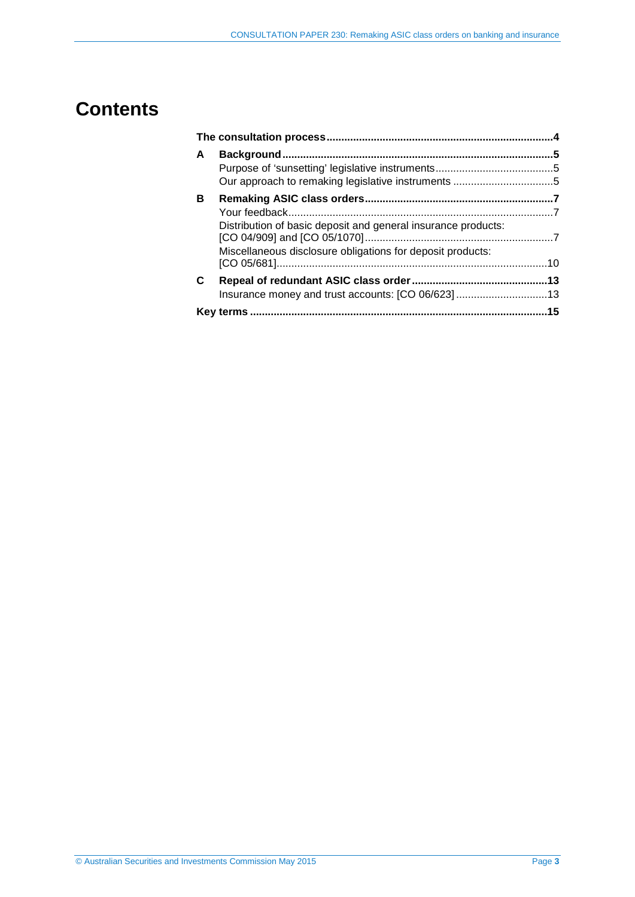## **Contents**

| A |                                                               |  |
|---|---------------------------------------------------------------|--|
|   |                                                               |  |
|   |                                                               |  |
| в |                                                               |  |
|   |                                                               |  |
|   | Distribution of basic deposit and general insurance products: |  |
|   | Miscellaneous disclosure obligations for deposit products:    |  |
| C |                                                               |  |
|   | Insurance money and trust accounts: [CO 06/623]13             |  |
|   |                                                               |  |
|   |                                                               |  |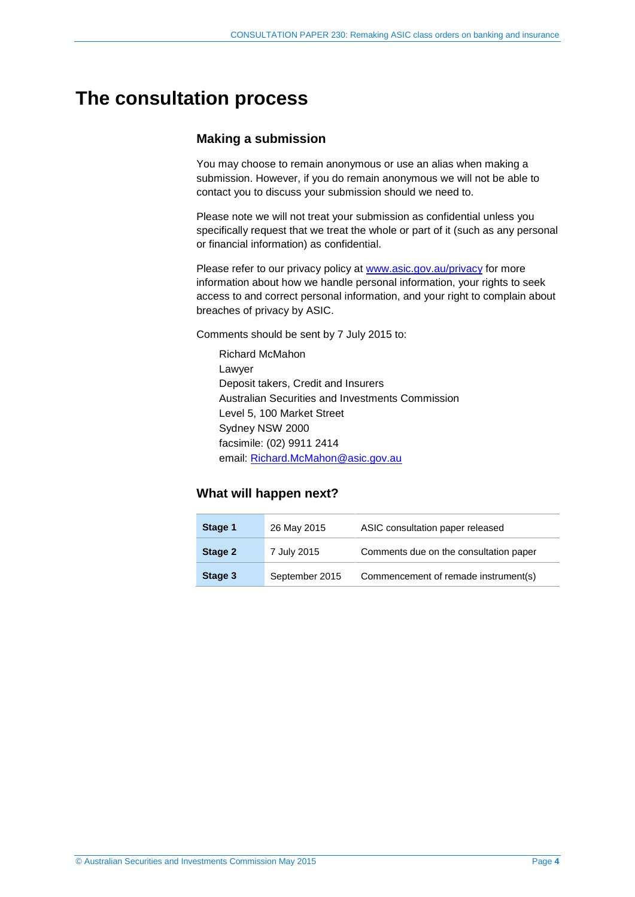## <span id="page-3-0"></span>**The consultation process**

## **Making a submission**

You may choose to remain anonymous or use an alias when making a submission. However, if you do remain anonymous we will not be able to contact you to discuss your submission should we need to.

Please note we will not treat your submission as confidential unless you specifically request that we treat the whole or part of it (such as any personal or financial information) as confidential.

Please refer to our privacy policy at [www.asic.gov.au/privacy](http://www.asic.gov.au/privacy) for more information about how we handle personal information, your rights to seek access to and correct personal information, and your right to complain about breaches of privacy by ASIC.

Comments should be sent by 7 July 2015 to:

Richard McMahon Lawyer Deposit takers, Credit and Insurers Australian Securities and Investments Commission Level 5, 100 Market Street Sydney NSW 2000 facsimile: (02) 9911 2414 email: [Richard.McMahon@asic.gov.au](mailto:Richard.McMahon@asic.gov.au)

## **What will happen next?**

| Stage 1 | 26 May 2015    | ASIC consultation paper released       |
|---------|----------------|----------------------------------------|
| Stage 2 | 7 July 2015    | Comments due on the consultation paper |
| Stage 3 | September 2015 | Commencement of remade instrument(s)   |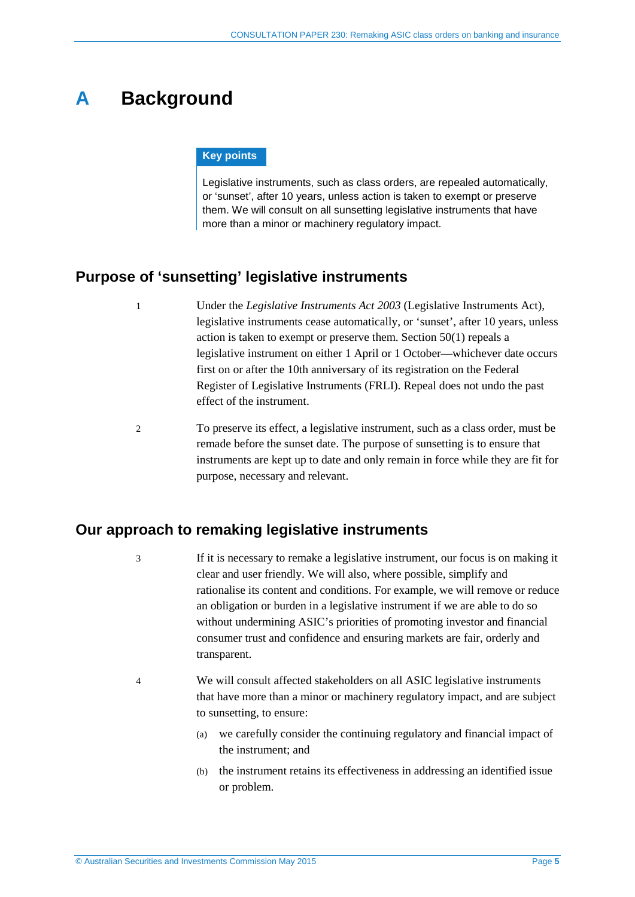## <span id="page-4-0"></span>**A Background**

#### **Key points**

Legislative instruments, such as class orders, are repealed automatically, or 'sunset', after 10 years, unless action is taken to exempt or preserve them. We will consult on all sunsetting legislative instruments that have more than a minor or machinery regulatory impact.

## <span id="page-4-1"></span>**Purpose of 'sunsetting' legislative instruments**

- 1 Under the *Legislative Instruments Act 2003* (Legislative Instruments Act), legislative instruments cease automatically, or 'sunset', after 10 years, unless action is taken to exempt or preserve them. Section 50(1) repeals a legislative instrument on either 1 April or 1 October—whichever date occurs first on or after the 10th anniversary of its registration on the Federal Register of Legislative Instruments (FRLI). Repeal does not undo the past effect of the instrument.
- 2 To preserve its effect, a legislative instrument, such as a class order, must be remade before the sunset date. The purpose of sunsetting is to ensure that instruments are kept up to date and only remain in force while they are fit for purpose, necessary and relevant.

## <span id="page-4-2"></span>**Our approach to remaking legislative instruments**

- 3 If it is necessary to remake a legislative instrument, our focus is on making it clear and user friendly. We will also, where possible, simplify and rationalise its content and conditions. For example, we will remove or reduce an obligation or burden in a legislative instrument if we are able to do so without undermining ASIC's priorities of promoting investor and financial consumer trust and confidence and ensuring markets are fair, orderly and transparent.
- 4 We will consult affected stakeholders on all ASIC legislative instruments that have more than a minor or machinery regulatory impact, and are subject to sunsetting, to ensure:
	- (a) we carefully consider the continuing regulatory and financial impact of the instrument; and
	- (b) the instrument retains its effectiveness in addressing an identified issue or problem.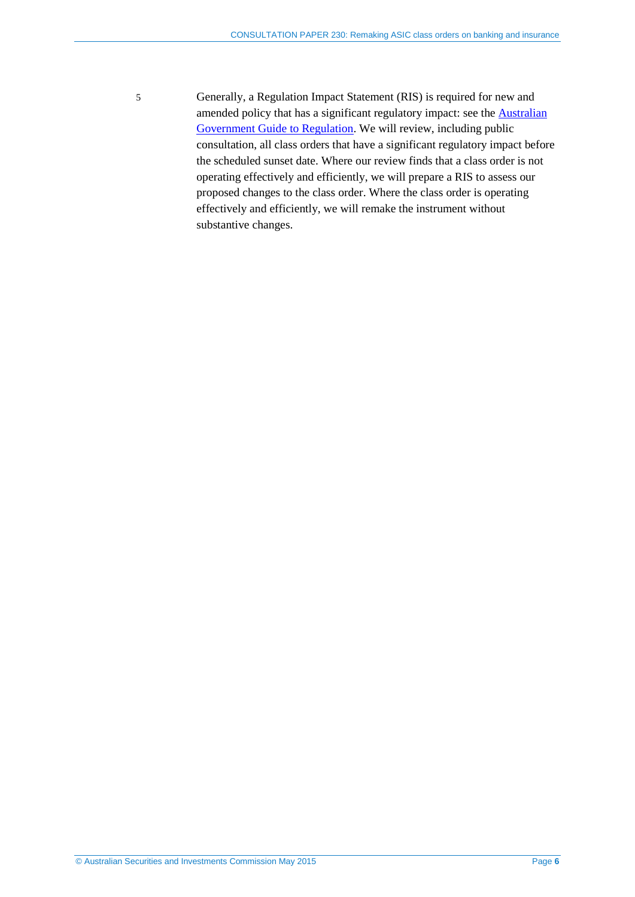5 Generally, a Regulation Impact Statement (RIS) is required for new and amended policy that has a significant regulatory impact: see the [Australian](https://www.cuttingredtape.gov.au/handbook/australian-government-guide-regulation)  [Government Guide to Regulation.](https://www.cuttingredtape.gov.au/handbook/australian-government-guide-regulation) We will review, including public consultation, all class orders that have a significant regulatory impact before the scheduled sunset date. Where our review finds that a class order is not operating effectively and efficiently, we will prepare a RIS to assess our proposed changes to the class order. Where the class order is operating effectively and efficiently, we will remake the instrument without substantive changes.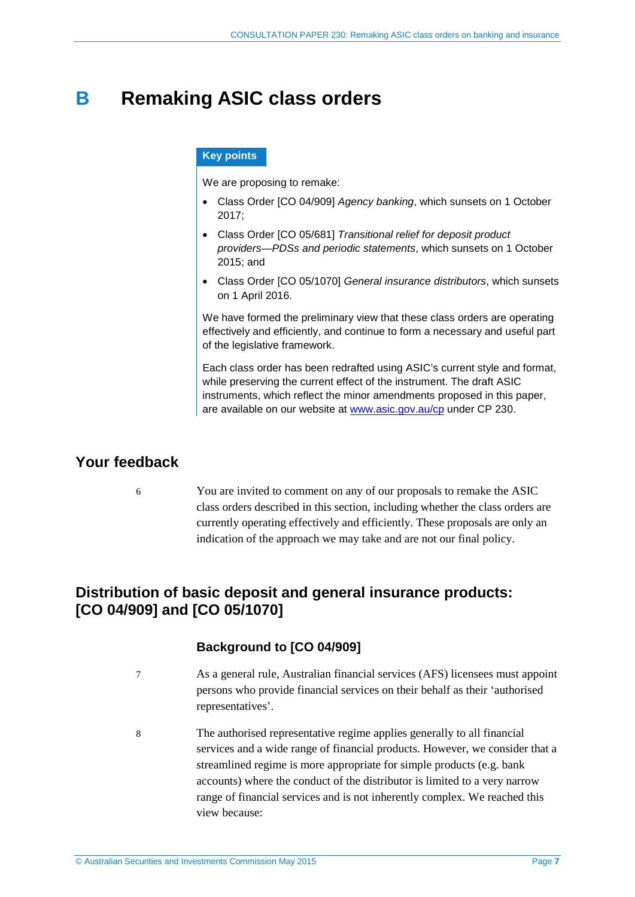## <span id="page-6-0"></span>**B Remaking ASIC class orders**

#### **Key points**

We are proposing to remake:

- Class Order [CO 04/909] *Agency banking*, which sunsets on 1 October 2017;
- Class Order [CO 05/681] *Transitional relief for deposit product providers—PDSs and periodic statements*, which sunsets on 1 October 2015; and
- Class Order [CO 05/1070] *General insurance distributors*, which sunsets on 1 April 2016.

We have formed the preliminary view that these class orders are operating effectively and efficiently, and continue to form a necessary and useful part of the legislative framework.

Each class order has been redrafted using ASIC's current style and format, while preserving the current effect of the instrument. The draft ASIC instruments, which reflect the minor amendments proposed in this paper, are available on our website at [www.asic.gov.au/cp](http://www.asic.gov.au/regulatory-resources/find-a-document/consultation-papers/) under CP 230.

## <span id="page-6-1"></span>**Your feedback**

6 You are invited to comment on any of our proposals to remake the ASIC class orders described in this section, including whether the class orders are currently operating effectively and efficiently. These proposals are only an indication of the approach we may take and are not our final policy.

## <span id="page-6-2"></span>**Distribution of basic deposit and general insurance products: [CO 04/909] and [CO 05/1070]**

## **Background to [CO 04/909]**

- 7 As a general rule, Australian financial services (AFS) licensees must appoint persons who provide financial services on their behalf as their 'authorised representatives'.
- 8 The authorised representative regime applies generally to all financial services and a wide range of financial products. However, we consider that a streamlined regime is more appropriate for simple products (e.g. bank accounts) where the conduct of the distributor is limited to a very narrow range of financial services and is not inherently complex. We reached this view because: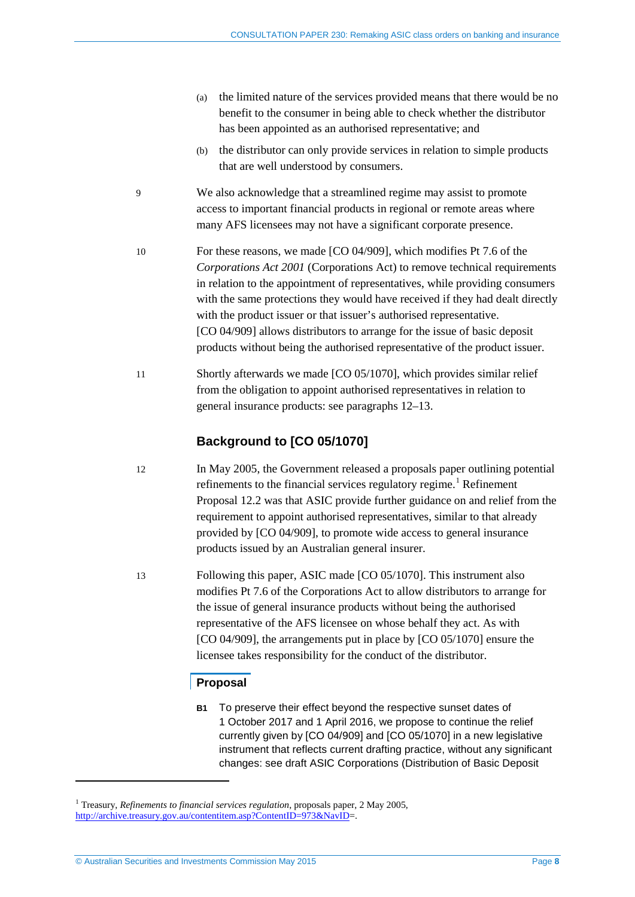- (a) the limited nature of the services provided means that there would be no benefit to the consumer in being able to check whether the distributor has been appointed as an authorised representative; and
- (b) the distributor can only provide services in relation to simple products that are well understood by consumers.
- 9 We also acknowledge that a streamlined regime may assist to promote access to important financial products in regional or remote areas where many AFS licensees may not have a significant corporate presence.
- 10 For these reasons, we made [CO 04/909], which modifies Pt 7.6 of the *Corporations Act 2001* (Corporations Act) to remove technical requirements in relation to the appointment of representatives, while providing consumers with the same protections they would have received if they had dealt directly with the product issuer or that issuer's authorised representative. [CO 04/909] allows distributors to arrange for the issue of basic deposit products without being the authorised representative of the product issuer.
- 11 Shortly afterwards we made [CO 05/1070], which provides similar relief from the obligation to appoint authorised representatives in relation to general insurance products: see paragraphs [12](#page-7-0)[–13.](#page-7-1)

## **Background to [CO 05/1070]**

- <span id="page-7-0"></span>12 In May 2005, the Government released a proposals paper outlining potential refinements to the financial services regulatory regime.<sup>[1](#page-7-2)</sup> Refinement Proposal 12.2 was that ASIC provide further guidance on and relief from the requirement to appoint authorised representatives, similar to that already provided by [CO 04/909], to promote wide access to general insurance products issued by an Australian general insurer.
- <span id="page-7-1"></span>13 Following this paper, ASIC made [CO 05/1070]. This instrument also modifies Pt 7.6 of the Corporations Act to allow distributors to arrange for the issue of general insurance products without being the authorised representative of the AFS licensee on whose behalf they act. As with [CO 04/909], the arrangements put in place by [CO 05/1070] ensure the licensee takes responsibility for the conduct of the distributor.

## **Proposal**

**B1** To preserve their effect beyond the respective sunset dates of 1 October 2017 and 1 April 2016, we propose to continue the relief currently given by [CO 04/909] and [CO 05/1070] in a new legislative instrument that reflects current drafting practice, without any significant changes: see draft ASIC Corporations (Distribution of Basic Deposit

-

<span id="page-7-2"></span><sup>1</sup> Treasury, *Refinements to financial services regulation*, proposals paper, 2 May 2005, [http://archive.treasury.gov.au/contentitem.asp?ContentID=973&NavID=](http://archive.treasury.gov.au/contentitem.asp?ContentID=973&NavID).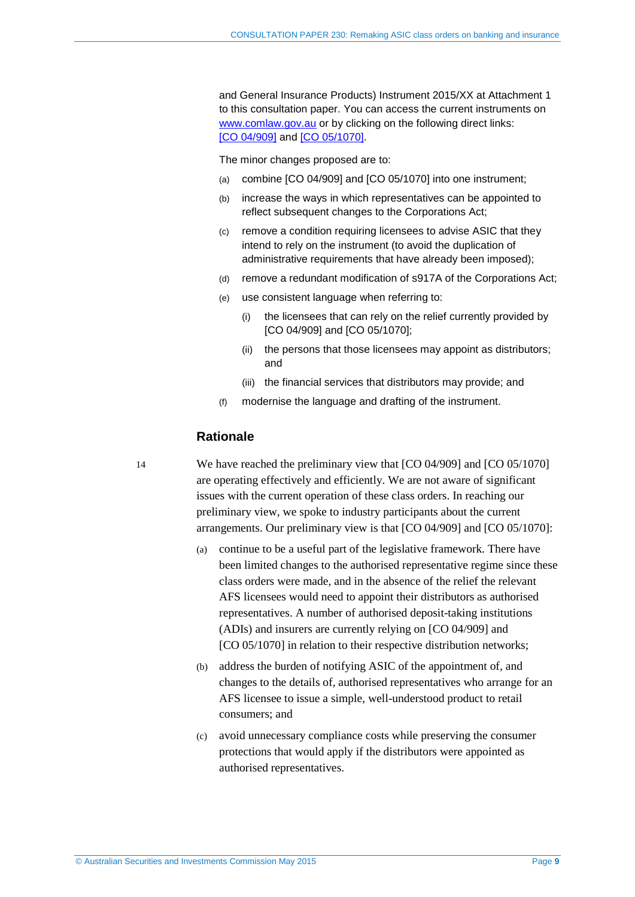and General Insurance Products) Instrument 2015/XX at Attachment 1 to this consultation paper. You can access the current instruments on [www.comlaw.gov.au](http://www.comlaw.gov.au/) or by clicking on the following direct links: [CO [04/909\]](http://www.comlaw.gov.au/Details/F2007B00674) and [CO [05/1070\].](http://www.comlaw.gov.au/Details/F2005L03335)

The minor changes proposed are to:

- <span id="page-8-0"></span>(a) combine [CO 04/909] and [CO 05/1070] into one instrument;
- (b) increase the ways in which representatives can be appointed to reflect subsequent changes to the Corporations Act;
- (c) remove a condition requiring licensees to advise ASIC that they intend to rely on the instrument (to avoid the duplication of administrative requirements that have already been imposed);
- (d) remove a redundant modification of s917A of the Corporations Act;
- (e) use consistent language when referring to:
	- (i) the licensees that can rely on the relief currently provided by [CO 04/909] and [CO 05/1070];
	- (ii) the persons that those licensees may appoint as distributors; and
	- (iii) the financial services that distributors may provide; and
- (f) modernise the language and drafting of the instrument.

### **Rationale**

<span id="page-8-1"></span>14 We have reached the preliminary view that [CO 04/909] and [CO 05/1070] are operating effectively and efficiently. We are not aware of significant issues with the current operation of these class orders. In reaching our preliminary view, we spoke to industry participants about the current arrangements. Our preliminary view is that [CO 04/909] and [CO 05/1070]:

- (a) continue to be a useful part of the legislative framework. There have been limited changes to the authorised representative regime since these class orders were made, and in the absence of the relief the relevant AFS licensees would need to appoint their distributors as authorised representatives. A number of authorised deposit-taking institutions (ADIs) and insurers are currently relying on [CO 04/909] and [CO 05/1070] in relation to their respective distribution networks;
- (b) address the burden of notifying ASIC of the appointment of, and changes to the details of, authorised representatives who arrange for an AFS licensee to issue a simple, well-understood product to retail consumers; and
- (c) avoid unnecessary compliance costs while preserving the consumer protections that would apply if the distributors were appointed as authorised representatives.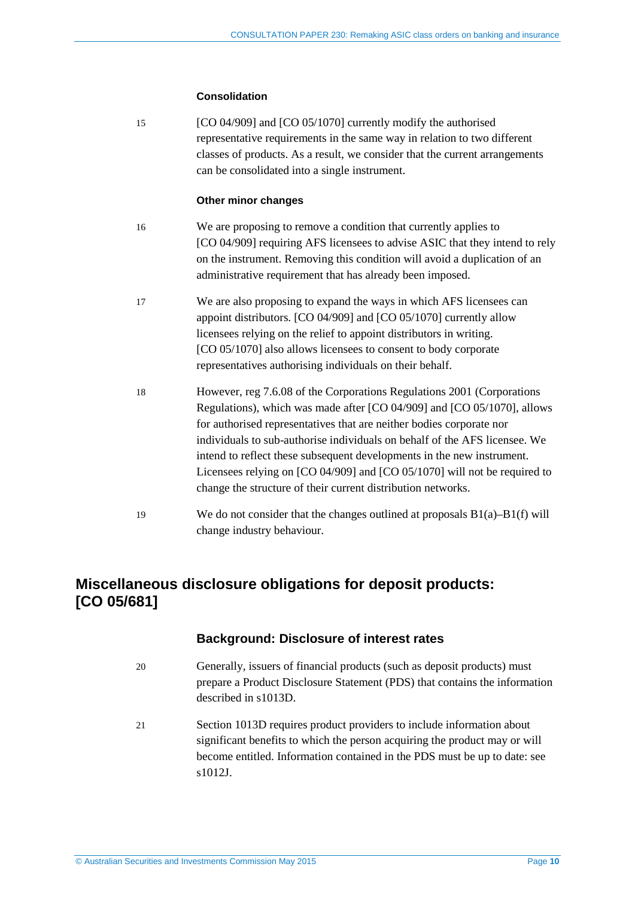#### **Consolidation**

15 [CO 04/909] and [CO 05/1070] currently modify the authorised representative requirements in the same way in relation to two different classes of products. As a result, we consider that the current arrangements can be consolidated into a single instrument.

#### **Other minor changes**

- 16 We are proposing to remove a condition that currently applies to [CO 04/909] requiring AFS licensees to advise ASIC that they intend to rely on the instrument. Removing this condition will avoid a duplication of an administrative requirement that has already been imposed.
- 17 We are also proposing to expand the ways in which AFS licensees can appoint distributors. [CO 04/909] and [CO 05/1070] currently allow licensees relying on the relief to appoint distributors in writing. [CO 05/1070] also allows licensees to consent to body corporate representatives authorising individuals on their behalf.
- 18 However, reg 7.6.08 of the Corporations Regulations 2001 (Corporations Regulations), which was made after [CO 04/909] and [CO 05/1070], allows for authorised representatives that are neither bodies corporate nor individuals to sub-authorise individuals on behalf of the AFS licensee. We intend to reflect these subsequent developments in the new instrument. Licensees relying on [CO 04/909] and [CO 05/1070] will not be required to change the structure of their current distribution networks.
- 19 We do not consider that the changes outlined at proposals [B1\(a\)](#page-8-0)[–B1\(f\)](#page-8-1) will change industry behaviour.

## <span id="page-9-0"></span>**Miscellaneous disclosure obligations for deposit products: [CO 05/681]**

### **Background: Disclosure of interest rates**

- 20 Generally, issuers of financial products (such as deposit products) must prepare a Product Disclosure Statement (PDS) that contains the information described in s1013D.
- 21 Section 1013D requires product providers to include information about significant benefits to which the person acquiring the product may or will become entitled. Information contained in the PDS must be up to date: see s1012J.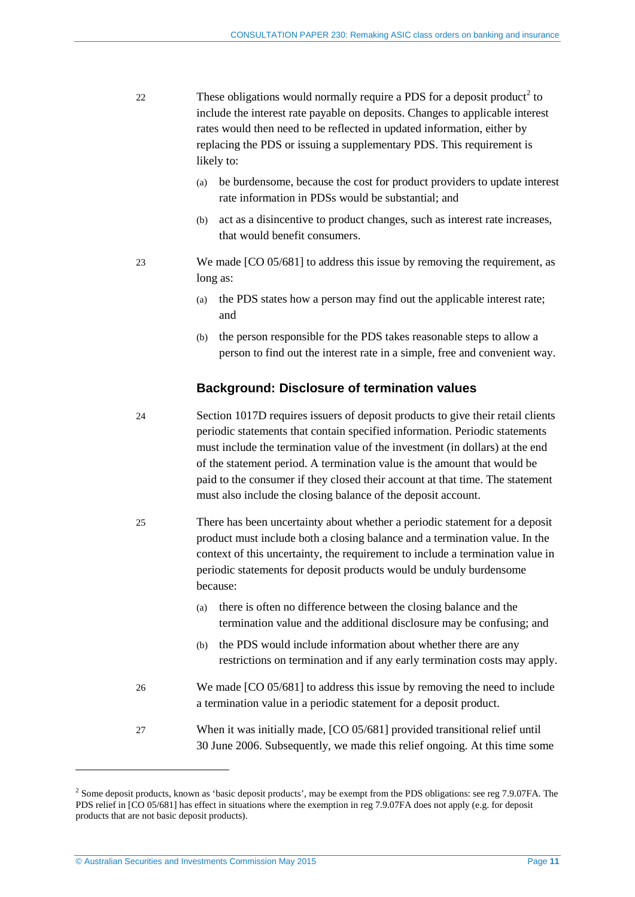- [2](#page-10-0)2 These obligations would normally require a PDS for a deposit product<sup>2</sup> to include the interest rate payable on deposits. Changes to applicable interest rates would then need to be reflected in updated information, either by replacing the PDS or issuing a supplementary PDS. This requirement is likely to:
	- (a) be burdensome, because the cost for product providers to update interest rate information in PDSs would be substantial; and
	- (b) act as a disincentive to product changes, such as interest rate increases, that would benefit consumers.
	- 23 We made [CO 05/681] to address this issue by removing the requirement, as long as:
		- (a) the PDS states how a person may find out the applicable interest rate; and
		- (b) the person responsible for the PDS takes reasonable steps to allow a person to find out the interest rate in a simple, free and convenient way.

#### **Background: Disclosure of termination values**

- 24 Section 1017D requires issuers of deposit products to give their retail clients periodic statements that contain specified information. Periodic statements must include the termination value of the investment (in dollars) at the end of the statement period. A termination value is the amount that would be paid to the consumer if they closed their account at that time. The statement must also include the closing balance of the deposit account.
- 25 There has been uncertainty about whether a periodic statement for a deposit product must include both a closing balance and a termination value. In the context of this uncertainty, the requirement to include a termination value in periodic statements for deposit products would be unduly burdensome because:
	- (a) there is often no difference between the closing balance and the termination value and the additional disclosure may be confusing; and
	- (b) the PDS would include information about whether there are any restrictions on termination and if any early termination costs may apply.
- 26 We made [CO 05/681] to address this issue by removing the need to include a termination value in a periodic statement for a deposit product.
- 27 When it was initially made, [CO 05/681] provided transitional relief until 30 June 2006. Subsequently, we made this relief ongoing. At this time some

<u>.</u>

<span id="page-10-0"></span> $2$  Some deposit products, known as 'basic deposit products', may be exempt from the PDS obligations: see reg 7.9.07FA. The PDS relief in [CO 05/681] has effect in situations where the exemption in reg 7.9.07FA does not apply (e.g. for deposit products that are not basic deposit products).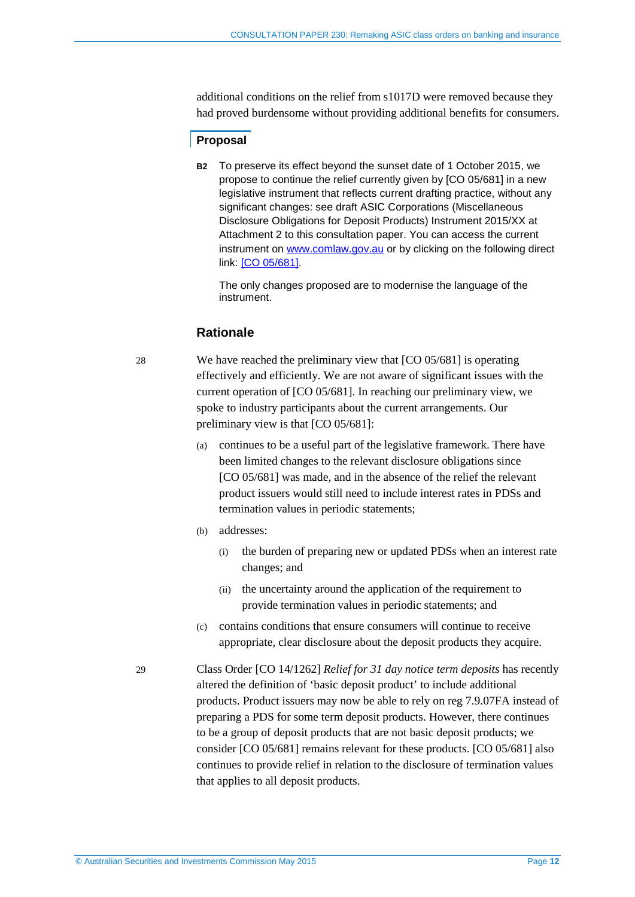additional conditions on the relief from s1017D were removed because they had proved burdensome without providing additional benefits for consumers.

### **Proposal**

**B2** To preserve its effect beyond the sunset date of 1 October 2015, we propose to continue the relief currently given by [CO 05/681] in a new legislative instrument that reflects current drafting practice, without any significant changes: see draft ASIC Corporations (Miscellaneous Disclosure Obligations for Deposit Products) Instrument 2015/XX at Attachment 2 to this consultation paper. You can access the current instrument on [www.comlaw.gov.au](http://www.comlaw.gov.au/) or by clicking on the following direct link: [CO [05/681\].](http://www.comlaw.gov.au/Details/F2012C00570)

The only changes proposed are to modernise the language of the instrument.

## **Rationale**

28 We have reached the preliminary view that [CO 05/681] is operating effectively and efficiently. We are not aware of significant issues with the current operation of [CO 05/681]. In reaching our preliminary view, we spoke to industry participants about the current arrangements. Our preliminary view is that [CO 05/681]:

- (a) continues to be a useful part of the legislative framework. There have been limited changes to the relevant disclosure obligations since [CO 05/681] was made, and in the absence of the relief the relevant product issuers would still need to include interest rates in PDSs and termination values in periodic statements;
- (b) addresses:
	- (i) the burden of preparing new or updated PDSs when an interest rate changes; and
	- (ii) the uncertainty around the application of the requirement to provide termination values in periodic statements; and
- (c) contains conditions that ensure consumers will continue to receive appropriate, clear disclosure about the deposit products they acquire.

29 Class Order [CO 14/1262] *Relief for 31 day notice term deposits* has recently altered the definition of 'basic deposit product' to include additional products. Product issuers may now be able to rely on reg 7.9.07FA instead of preparing a PDS for some term deposit products. However, there continues to be a group of deposit products that are not basic deposit products; we consider [CO 05/681] remains relevant for these products. [CO 05/681] also continues to provide relief in relation to the disclosure of termination values that applies to all deposit products.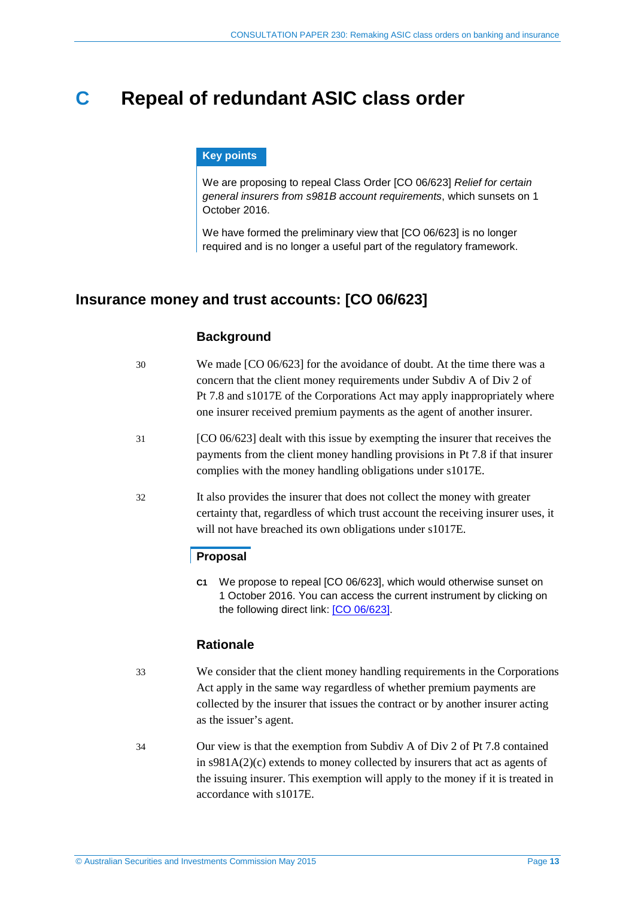## <span id="page-12-0"></span>**C Repeal of redundant ASIC class order**

#### **Key points**

We are proposing to repeal Class Order [CO 06/623] *Relief for certain general insurers from s981B account requirements*, which sunsets on 1 October 2016.

We have formed the preliminary view that [CO 06/623] is no longer required and is no longer a useful part of the regulatory framework.

## <span id="page-12-1"></span>**Insurance money and trust accounts: [CO 06/623]**

## **Background**

- 30 We made [CO 06/623] for the avoidance of doubt. At the time there was a concern that the client money requirements under Subdiv A of Div 2 of Pt 7.8 and s1017E of the Corporations Act may apply inappropriately where one insurer received premium payments as the agent of another insurer.
- 31 [CO 06/623] dealt with this issue by exempting the insurer that receives the payments from the client money handling provisions in Pt 7.8 if that insurer complies with the money handling obligations under s1017E.
- 32 It also provides the insurer that does not collect the money with greater certainty that, regardless of which trust account the receiving insurer uses, it will not have breached its own obligations under s1017E.

## **Proposal**

**C1** We propose to repeal [CO 06/623], which would otherwise sunset on 1 October 2016. You can access the current instrument by clicking on the following direct link: [CO [06/623\].](http://www.comlaw.gov.au/Details/F2006L02731)

## **Rationale**

- 33 We consider that the client money handling requirements in the Corporations Act apply in the same way regardless of whether premium payments are collected by the insurer that issues the contract or by another insurer acting as the issuer's agent.
- 34 Our view is that the exemption from Subdiv A of Div 2 of Pt 7.8 contained in s981A(2)(c) extends to money collected by insurers that act as agents of the issuing insurer. This exemption will apply to the money if it is treated in accordance with s1017E.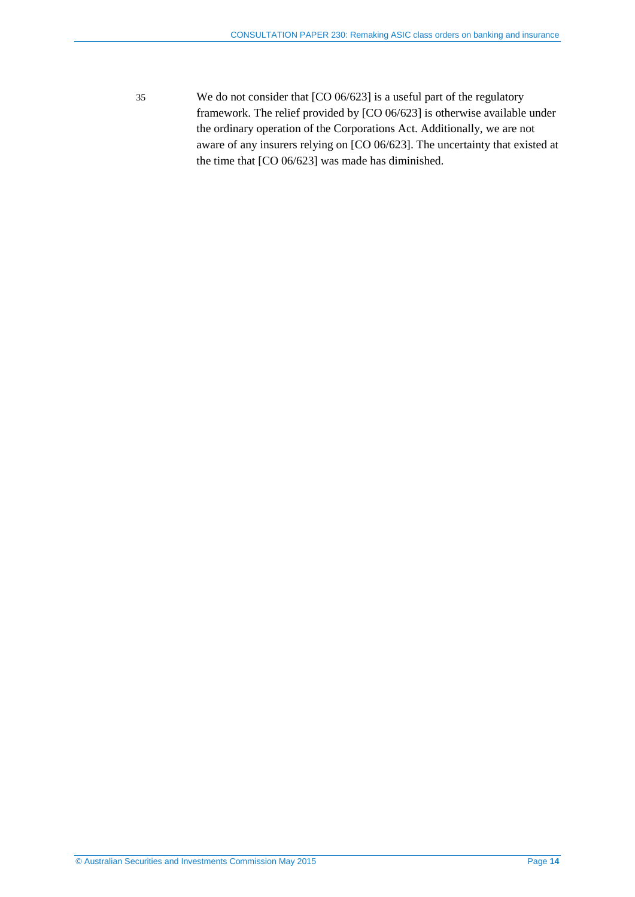35 We do not consider that [CO 06/623] is a useful part of the regulatory framework. The relief provided by [CO 06/623] is otherwise available under the ordinary operation of the Corporations Act. Additionally, we are not aware of any insurers relying on [CO 06/623]. The uncertainty that existed at the time that [CO 06/623] was made has diminished.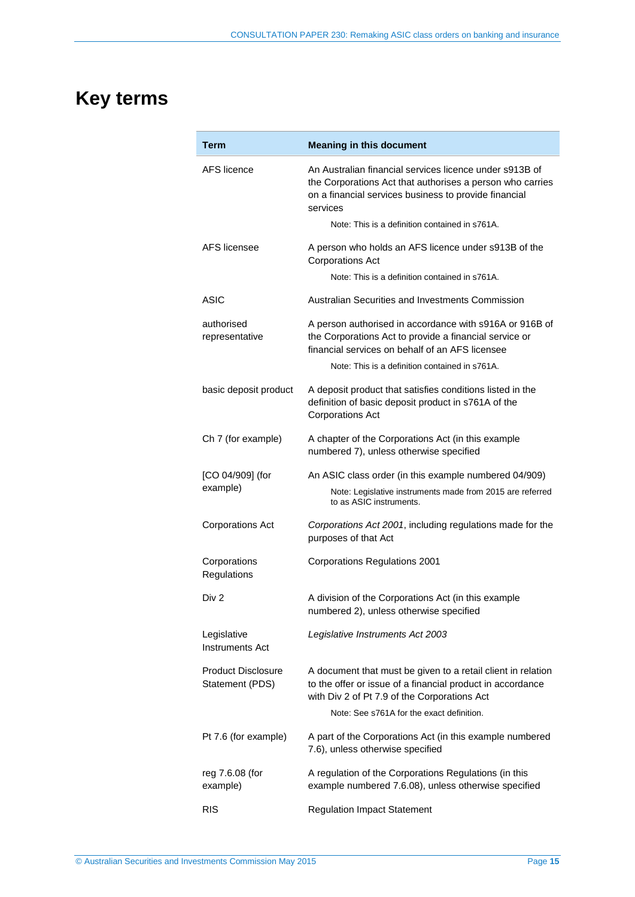## <span id="page-14-0"></span>**Key terms**

| Term                                         | <b>Meaning in this document</b>                                                                                                                                                                                         |
|----------------------------------------------|-------------------------------------------------------------------------------------------------------------------------------------------------------------------------------------------------------------------------|
| AFS licence                                  | An Australian financial services licence under s913B of<br>the Corporations Act that authorises a person who carries<br>on a financial services business to provide financial<br>services                               |
|                                              | Note: This is a definition contained in s761A.                                                                                                                                                                          |
| AFS licensee                                 | A person who holds an AFS licence under s913B of the<br><b>Corporations Act</b>                                                                                                                                         |
|                                              | Note: This is a definition contained in s761A.                                                                                                                                                                          |
| ASIC                                         | Australian Securities and Investments Commission                                                                                                                                                                        |
| authorised<br>representative                 | A person authorised in accordance with s916A or 916B of<br>the Corporations Act to provide a financial service or<br>financial services on behalf of an AFS licensee                                                    |
|                                              | Note: This is a definition contained in s761A.                                                                                                                                                                          |
| basic deposit product                        | A deposit product that satisfies conditions listed in the<br>definition of basic deposit product in s761A of the<br><b>Corporations Act</b>                                                                             |
| Ch 7 (for example)                           | A chapter of the Corporations Act (in this example<br>numbered 7), unless otherwise specified                                                                                                                           |
| [CO 04/909] (for                             | An ASIC class order (in this example numbered 04/909)                                                                                                                                                                   |
| example)                                     | Note: Legislative instruments made from 2015 are referred<br>to as ASIC instruments.                                                                                                                                    |
| <b>Corporations Act</b>                      | Corporations Act 2001, including regulations made for the<br>purposes of that Act                                                                                                                                       |
| Corporations<br>Regulations                  | <b>Corporations Regulations 2001</b>                                                                                                                                                                                    |
| Div <sub>2</sub>                             | A division of the Corporations Act (in this example<br>numbered 2), unless otherwise specified                                                                                                                          |
| Legislative<br><b>Instruments Act</b>        | Legislative Instruments Act 2003                                                                                                                                                                                        |
| <b>Product Disclosure</b><br>Statement (PDS) | A document that must be given to a retail client in relation<br>to the offer or issue of a financial product in accordance<br>with Div 2 of Pt 7.9 of the Corporations Act<br>Note: See s761A for the exact definition. |
| Pt 7.6 (for example)                         | A part of the Corporations Act (in this example numbered<br>7.6), unless otherwise specified                                                                                                                            |
| reg 7.6.08 (for<br>example)                  | A regulation of the Corporations Regulations (in this<br>example numbered 7.6.08), unless otherwise specified                                                                                                           |
| <b>RIS</b>                                   | <b>Regulation Impact Statement</b>                                                                                                                                                                                      |